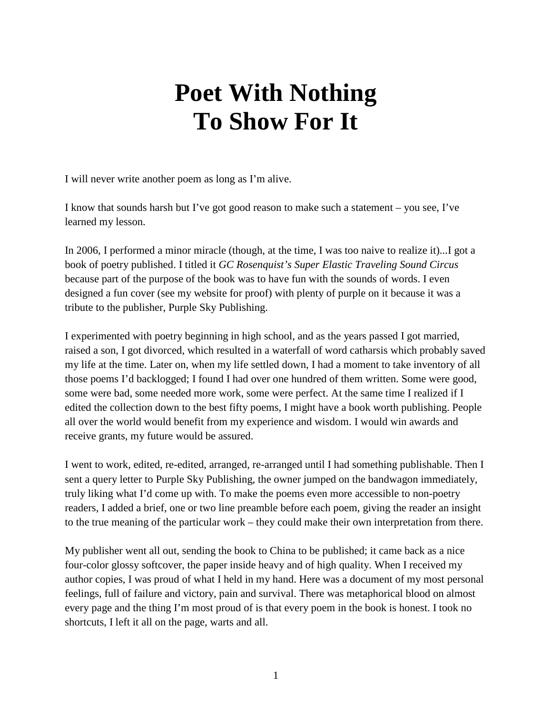## **Poet With Nothing To Show For It**

I will never write another poem as long as I'm alive.

I know that sounds harsh but I've got good reason to make such a statement – you see, I've learned my lesson.

In 2006, I performed a minor miracle (though, at the time, I was too naive to realize it)...I got a book of poetry published. I titled it *GC Rosenquist's Super Elastic Traveling Sound Circus* because part of the purpose of the book was to have fun with the sounds of words. I even designed a fun cover (see my website for proof) with plenty of purple on it because it was a tribute to the publisher, Purple Sky Publishing.

I experimented with poetry beginning in high school, and as the years passed I got married, raised a son, I got divorced, which resulted in a waterfall of word catharsis which probably saved my life at the time. Later on, when my life settled down, I had a moment to take inventory of all those poems I'd backlogged; I found I had over one hundred of them written. Some were good, some were bad, some needed more work, some were perfect. At the same time I realized if I edited the collection down to the best fifty poems, I might have a book worth publishing. People all over the world would benefit from my experience and wisdom. I would win awards and receive grants, my future would be assured.

I went to work, edited, re-edited, arranged, re-arranged until I had something publishable. Then I sent a query letter to Purple Sky Publishing, the owner jumped on the bandwagon immediately, truly liking what I'd come up with. To make the poems even more accessible to non-poetry readers, I added a brief, one or two line preamble before each poem, giving the reader an insight to the true meaning of the particular work – they could make their own interpretation from there.

My publisher went all out, sending the book to China to be published; it came back as a nice four-color glossy softcover, the paper inside heavy and of high quality. When I received my author copies, I was proud of what I held in my hand. Here was a document of my most personal feelings, full of failure and victory, pain and survival. There was metaphorical blood on almost every page and the thing I'm most proud of is that every poem in the book is honest. I took no shortcuts, I left it all on the page, warts and all.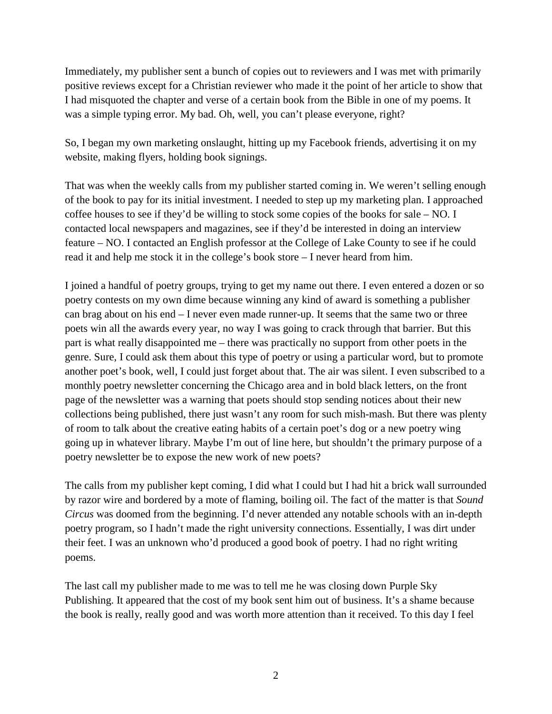Immediately, my publisher sent a bunch of copies out to reviewers and I was met with primarily positive reviews except for a Christian reviewer who made it the point of her article to show that I had misquoted the chapter and verse of a certain book from the Bible in one of my poems. It was a simple typing error. My bad. Oh, well, you can't please everyone, right?

So, I began my own marketing onslaught, hitting up my Facebook friends, advertising it on my website, making flyers, holding book signings.

That was when the weekly calls from my publisher started coming in. We weren't selling enough of the book to pay for its initial investment. I needed to step up my marketing plan. I approached coffee houses to see if they'd be willing to stock some copies of the books for sale – NO. I contacted local newspapers and magazines, see if they'd be interested in doing an interview feature – NO. I contacted an English professor at the College of Lake County to see if he could read it and help me stock it in the college's book store – I never heard from him.

I joined a handful of poetry groups, trying to get my name out there. I even entered a dozen or so poetry contests on my own dime because winning any kind of award is something a publisher can brag about on his end – I never even made runner-up. It seems that the same two or three poets win all the awards every year, no way I was going to crack through that barrier. But this part is what really disappointed me – there was practically no support from other poets in the genre. Sure, I could ask them about this type of poetry or using a particular word, but to promote another poet's book, well, I could just forget about that. The air was silent. I even subscribed to a monthly poetry newsletter concerning the Chicago area and in bold black letters, on the front page of the newsletter was a warning that poets should stop sending notices about their new collections being published, there just wasn't any room for such mish-mash. But there was plenty of room to talk about the creative eating habits of a certain poet's dog or a new poetry wing going up in whatever library. Maybe I'm out of line here, but shouldn't the primary purpose of a poetry newsletter be to expose the new work of new poets?

The calls from my publisher kept coming, I did what I could but I had hit a brick wall surrounded by razor wire and bordered by a mote of flaming, boiling oil. The fact of the matter is that *Sound Circus* was doomed from the beginning. I'd never attended any notable schools with an in-depth poetry program, so I hadn't made the right university connections. Essentially, I was dirt under their feet. I was an unknown who'd produced a good book of poetry. I had no right writing poems.

The last call my publisher made to me was to tell me he was closing down Purple Sky Publishing. It appeared that the cost of my book sent him out of business. It's a shame because the book is really, really good and was worth more attention than it received. To this day I feel